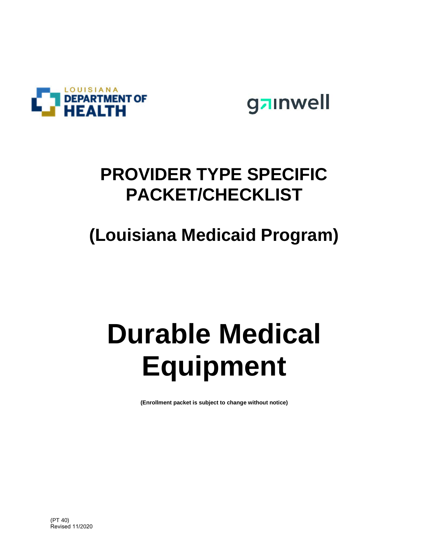

gainwell

## **PROVIDER TYPE SPECIFIC PACKET/CHECKLIST**

## **(Louisiana Medicaid Program)**

# **Durable Medical Equipment**

**(Enrollment packet is subject to change without notice)**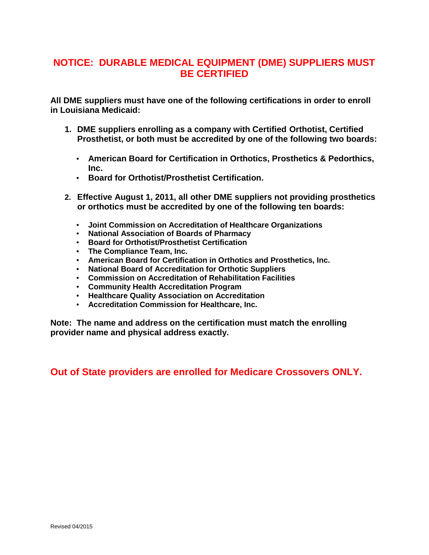#### **NOTICE: DURABLE MEDICAL EQUIPMENT (DME) SUPPLIERS MUST BE CERTIFIED**

**All DME suppliers must have one of the following certifications in order to enroll in Louisiana Medicaid:**

- **1. DME suppliers enrolling as a company with Certified Orthotist, Certified Prosthetist, or both must be accredited by one of the following two boards:**
	- **American Board for Certification in Orthotics, Prosthetics & Pedorthics, Inc.**
	- **Board for Orthotist/Prosthetist Certification.**
- **2. Effective August 1, 2011, all other DME suppliers not providing prosthetics or orthotics must be accredited by one of the following ten boards:**
	- **Joint Commission on Accreditation of Healthcare Organizations**
	- **National Association of Boards of Pharmacy**
	- **Board for Orthotist/Prosthetist Certification**
	- **The Compliance Team, Inc.**
	- **American Board for Certification in Orthotics and Prosthetics, Inc.**
	- **National Board of Accreditation for Orthotic Suppliers**
	- **Commission on Accreditation of Rehabilitation Facilities**
	- **Community Health Accreditation Program**
	- **Healthcare Quality Association on Accreditation**
	- **Accreditation Commission for Healthcare, Inc.**

**Note: The name and address on the certification must match the enrolling provider name and physical address exactly.**

**Out of State providers are enrolled for Medicare Crossovers ONLY.**